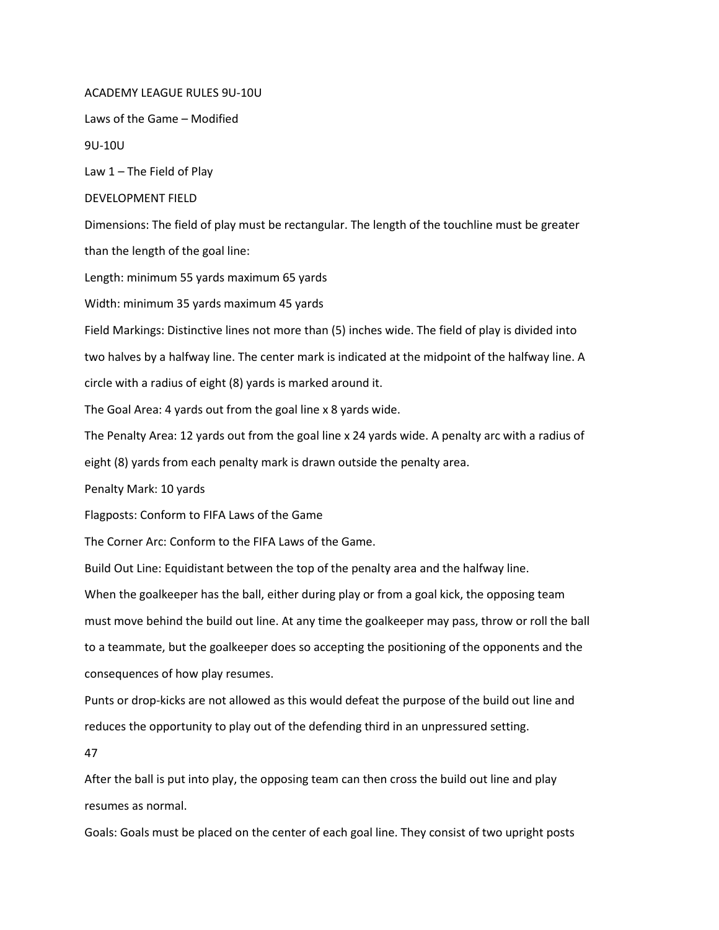## ACADEMY LEAGUE RULES 9U-10U

Laws of the Game – Modified

9U-10U

Law  $1$  – The Field of Play

## DEVELOPMENT FIELD

Dimensions: The field of play must be rectangular. The length of the touchline must be greater than the length of the goal line:

Length: minimum 55 yards maximum 65 yards

Width: minimum 35 yards maximum 45 yards

Field Markings: Distinctive lines not more than (5) inches wide. The field of play is divided into two halves by a halfway line. The center mark is indicated at the midpoint of the halfway line. A

circle with a radius of eight (8) yards is marked around it.

The Goal Area: 4 yards out from the goal line x 8 yards wide.

The Penalty Area: 12 yards out from the goal line x 24 yards wide. A penalty arc with a radius of

eight (8) yards from each penalty mark is drawn outside the penalty area.

Penalty Mark: 10 yards

Flagposts: Conform to FIFA Laws of the Game

The Corner Arc: Conform to the FIFA Laws of the Game.

Build Out Line: Equidistant between the top of the penalty area and the halfway line.

When the goalkeeper has the ball, either during play or from a goal kick, the opposing team must move behind the build out line. At any time the goalkeeper may pass, throw or roll the ball to a teammate, but the goalkeeper does so accepting the positioning of the opponents and the consequences of how play resumes.

Punts or drop-kicks are not allowed as this would defeat the purpose of the build out line and reduces the opportunity to play out of the defending third in an unpressured setting.

47

After the ball is put into play, the opposing team can then cross the build out line and play resumes as normal.

Goals: Goals must be placed on the center of each goal line. They consist of two upright posts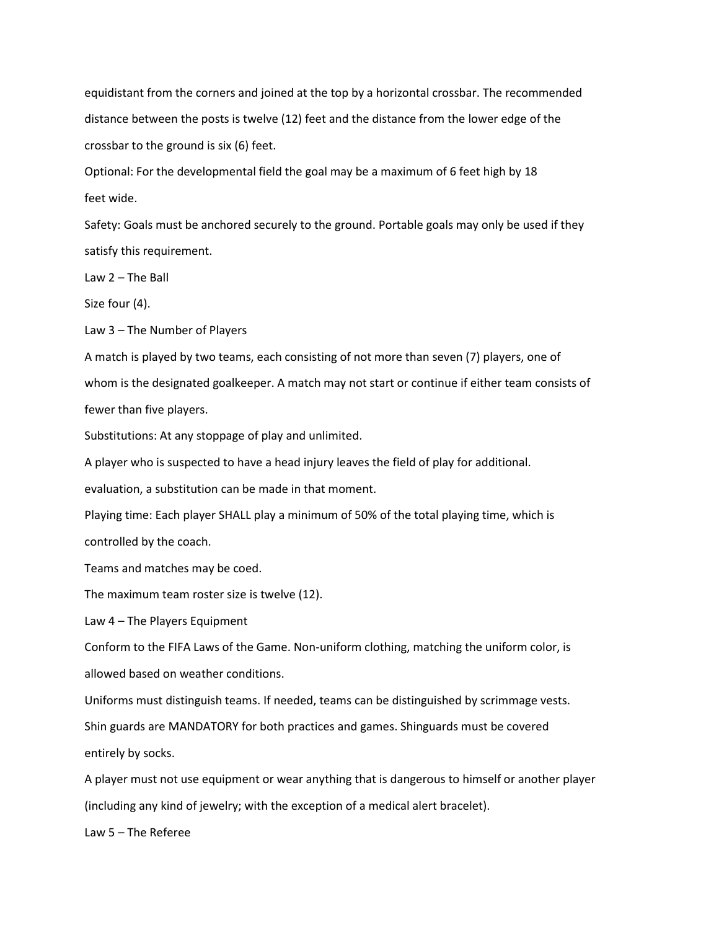equidistant from the corners and joined at the top by a horizontal crossbar. The recommended distance between the posts is twelve (12) feet and the distance from the lower edge of the crossbar to the ground is six (6) feet.

Optional: For the developmental field the goal may be a maximum of 6 feet high by 18 feet wide.

Safety: Goals must be anchored securely to the ground. Portable goals may only be used if they satisfy this requirement.

Law 2 – The Ball

Size four (4).

Law 3 – The Number of Players

A match is played by two teams, each consisting of not more than seven (7) players, one of whom is the designated goalkeeper. A match may not start or continue if either team consists of fewer than five players.

Substitutions: At any stoppage of play and unlimited.

A player who is suspected to have a head injury leaves the field of play for additional.

evaluation, a substitution can be made in that moment.

Playing time: Each player SHALL play a minimum of 50% of the total playing time, which is controlled by the coach.

Teams and matches may be coed.

The maximum team roster size is twelve (12).

Law 4 – The Players Equipment

Conform to the FIFA Laws of the Game. Non-uniform clothing, matching the uniform color, is allowed based on weather conditions.

Uniforms must distinguish teams. If needed, teams can be distinguished by scrimmage vests.

Shin guards are MANDATORY for both practices and games. Shinguards must be covered

entirely by socks.

A player must not use equipment or wear anything that is dangerous to himself or another player (including any kind of jewelry; with the exception of a medical alert bracelet).

Law 5 – The Referee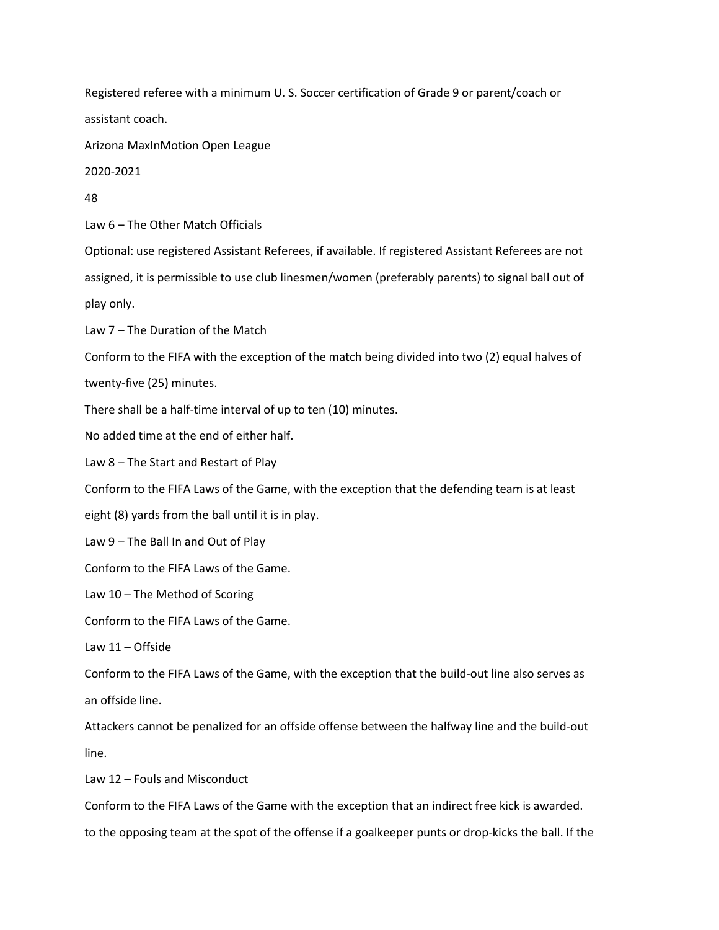Registered referee with a minimum U. S. Soccer certification of Grade 9 or parent/coach or assistant coach.

Arizona MaxInMotion Open League

2020-2021

48

Law 6 – The Other Match Officials

Optional: use registered Assistant Referees, if available. If registered Assistant Referees are not assigned, it is permissible to use club linesmen/women (preferably parents) to signal ball out of play only.

Law 7 – The Duration of the Match

Conform to the FIFA with the exception of the match being divided into two (2) equal halves of twenty-five (25) minutes.

There shall be a half-time interval of up to ten (10) minutes.

No added time at the end of either half.

Law 8 – The Start and Restart of Play

Conform to the FIFA Laws of the Game, with the exception that the defending team is at least

eight (8) yards from the ball until it is in play.

Law 9 – The Ball In and Out of Play

Conform to the FIFA Laws of the Game.

Law 10 – The Method of Scoring

Conform to the FIFA Laws of the Game.

Law 11 – Offside

Conform to the FIFA Laws of the Game, with the exception that the build-out line also serves as an offside line.

Attackers cannot be penalized for an offside offense between the halfway line and the build-out line.

Law 12 – Fouls and Misconduct

Conform to the FIFA Laws of the Game with the exception that an indirect free kick is awarded.

to the opposing team at the spot of the offense if a goalkeeper punts or drop-kicks the ball. If the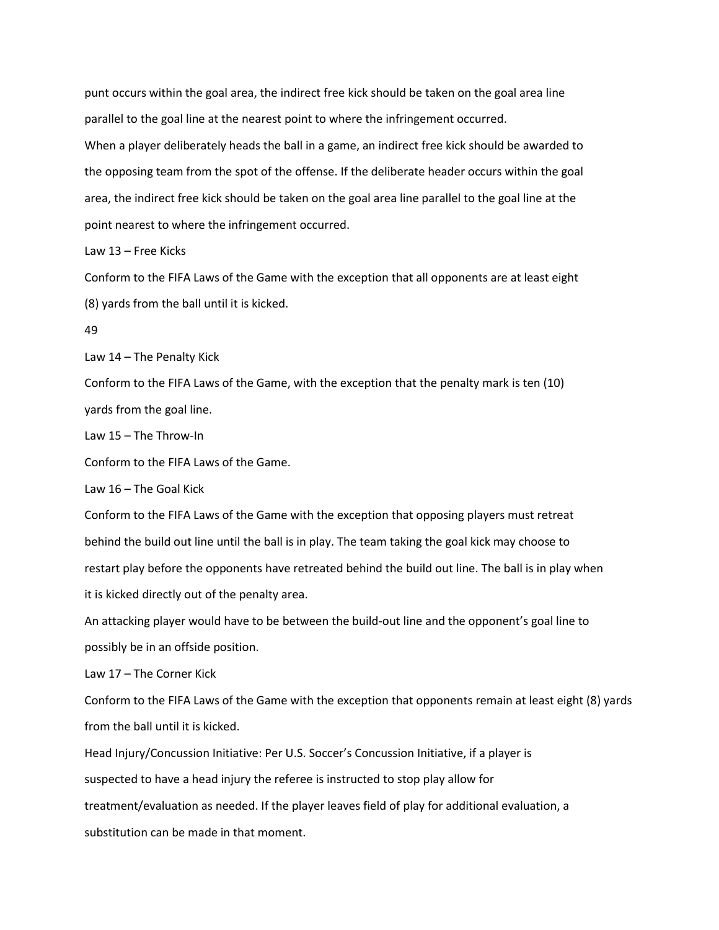punt occurs within the goal area, the indirect free kick should be taken on the goal area line parallel to the goal line at the nearest point to where the infringement occurred.

When a player deliberately heads the ball in a game, an indirect free kick should be awarded to the opposing team from the spot of the offense. If the deliberate header occurs within the goal area, the indirect free kick should be taken on the goal area line parallel to the goal line at the point nearest to where the infringement occurred.

Law 13 – Free Kicks

Conform to the FIFA Laws of the Game with the exception that all opponents are at least eight (8) yards from the ball until it is kicked.

49

Law 14 – The Penalty Kick

Conform to the FIFA Laws of the Game, with the exception that the penalty mark is ten (10) yards from the goal line.

Law 15 – The Throw-In

Conform to the FIFA Laws of the Game.

Law 16 – The Goal Kick

Conform to the FIFA Laws of the Game with the exception that opposing players must retreat behind the build out line until the ball is in play. The team taking the goal kick may choose to restart play before the opponents have retreated behind the build out line. The ball is in play when it is kicked directly out of the penalty area.

An attacking player would have to be between the build-out line and the opponent's goal line to possibly be in an offside position.

Law 17 – The Corner Kick

Conform to the FIFA Laws of the Game with the exception that opponents remain at least eight (8) yards from the ball until it is kicked.

Head Injury/Concussion Initiative: Per U.S. Soccer's Concussion Initiative, if a player is

suspected to have a head injury the referee is instructed to stop play allow for

treatment/evaluation as needed. If the player leaves field of play for additional evaluation, a

substitution can be made in that moment.